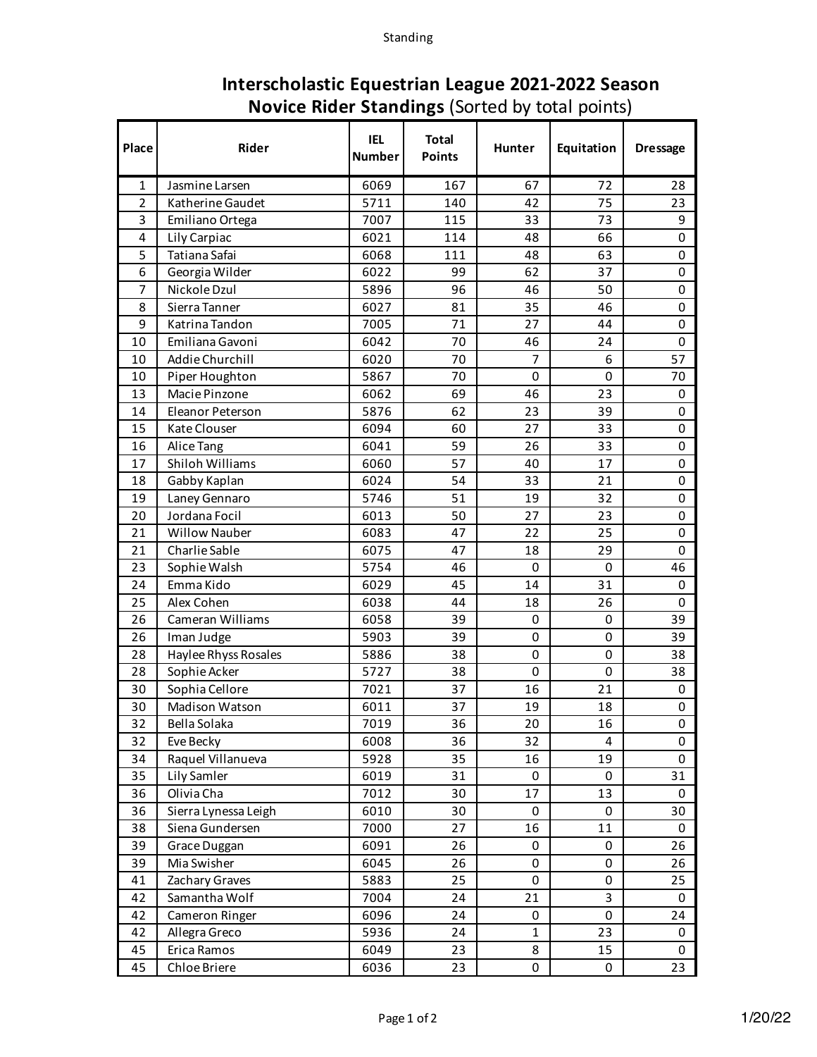| Place          | <b>Rider</b>            | <b>IEL</b><br><b>Number</b> | <b>Total</b><br><b>Points</b> | Hunter      | Equitation | <b>Dressage</b> |
|----------------|-------------------------|-----------------------------|-------------------------------|-------------|------------|-----------------|
| 1              | Jasmine Larsen          | 6069                        | 167                           | 67          | 72         | 28              |
| $\overline{2}$ | Katherine Gaudet        | 5711                        | 140                           | 42          | 75         | 23              |
| 3              | Emiliano Ortega         | 7007                        | 115                           | 33          | 73         | 9               |
| 4              | Lily Carpiac            | 6021                        | 114                           | 48          | 66         | 0               |
| 5              | Tatiana Safai           | 6068                        | 111                           | 48          | 63         | 0               |
| 6              | Georgia Wilder          | 6022                        | 99                            | 62          | 37         | 0               |
| 7              | Nickole Dzul            | 5896                        | 96                            | 46          | 50         | 0               |
| 8              | Sierra Tanner           | 6027                        | 81                            | 35          | 46         | 0               |
| 9              | Katrina Tandon          | 7005                        | 71                            | 27          | 44         | 0               |
| 10             | Emiliana Gavoni         | 6042                        | 70                            | 46          | 24         | 0               |
| 10             | Addie Churchill         | 6020                        | 70                            | 7           | 6          | 57              |
| 10             | Piper Houghton          | 5867                        | 70                            | 0           | 0          | 70              |
| 13             | Macie Pinzone           | 6062                        | 69                            | 46          | 23         | 0               |
| 14             | <b>Eleanor Peterson</b> | 5876                        | 62                            | 23          | 39         | 0               |
| 15             | Kate Clouser            | 6094                        | 60                            | 27          | 33         | 0               |
| 16             | Alice Tang              | 6041                        | 59                            | 26          | 33         | 0               |
| 17             | <b>Shiloh Williams</b>  | 6060                        | 57                            | 40          | 17         | 0               |
| 18             | Gabby Kaplan            | 6024                        | 54                            | 33          | 21         | 0               |
| 19             | Laney Gennaro           | 5746                        | 51                            | 19          | 32         | 0               |
| 20             | Jordana Focil           | 6013                        | 50                            | 27          | 23         | 0               |
| 21             | <b>Willow Nauber</b>    | 6083                        | 47                            | 22          | 25         | 0               |
| 21             | Charlie Sable           | 6075                        | 47                            | 18          | 29         | 0               |
| 23             | Sophie Walsh            | 5754                        | 46                            | 0           | $\Omega$   | 46              |
| 24             | Emma Kido               | 6029                        | 45                            | 14          | 31         | 0               |
| 25             | Alex Cohen              | 6038                        | 44                            | 18          | 26         | 0               |
| 26             | Cameran Williams        | 6058                        | 39                            | $\mathbf 0$ | 0          | 39              |
| 26             | Iman Judge              | 5903                        | 39                            | 0           | 0          | 39              |
| 28             | Haylee Rhyss Rosales    | 5886                        | 38                            | 0           | 0          | 38              |
| 28             | Sophie Acker            | 5727                        | 38                            | 0           | 0          | 38              |
| 30             | Sophia Cellore          | 7021                        | 37                            | 16          | 21         | 0               |
| 30             | <b>Madison Watson</b>   | 6011                        | 37                            | 19          | 18         | 0               |
| 32             | Bella Solaka            | 7019                        | 36                            | 20          | 16         | 0               |
| 32             | Eve Becky               | 6008                        | 36                            | 32          | 4          | 0               |
| 34             | Raquel Villanueva       | 5928                        | 35                            | 16          | 19         | 0               |
| 35             | Lily Samler             | 6019                        | 31                            | 0           | 0          | 31              |
| 36             | Olivia Cha              | 7012                        | 30                            | 17          | 13         | 0               |
| 36             | Sierra Lynessa Leigh    | 6010                        | 30                            | 0           | 0          | 30              |
| 38             | Siena Gundersen         | 7000                        | 27                            | 16          | 11         | 0               |
| 39             | Grace Duggan            | 6091                        | 26                            | 0           | 0          | 26              |
| 39             | Mia Swisher             | 6045                        | 26                            | 0           | 0          | 26              |
| 41             | Zachary Graves          | 5883                        | 25                            | 0           | 0          | 25              |
| 42             | Samantha Wolf           | 7004                        | 24                            | 21          | 3          | 0               |
| 42             | Cameron Ringer          | 6096                        | 24                            | 0           | 0          | 24              |
| 42             | Allegra Greco           | 5936                        | 24                            | 1           | 23         | 0               |
| 45             | Erica Ramos             | 6049                        | 23                            | 8           | 15         | 0               |
| 45             | Chloe Briere            | 6036                        | 23                            | 0           | 0          | 23              |

## **Interscholastic Equestrian League 2021-2022 Season Novice Rider Standings** (Sorted by total points)